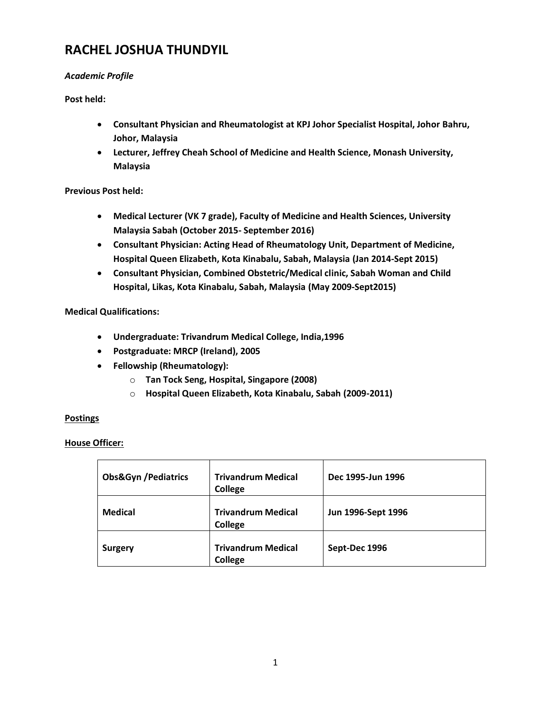# **RACHEL JOSHUA THUNDYIL**

## *Academic Profile*

**Post held:**

- **Consultant Physician and Rheumatologist at KPJ Johor Specialist Hospital, Johor Bahru, Johor, Malaysia**
- **Lecturer, Jeffrey Cheah School of Medicine and Health Science, Monash University, Malaysia**

## **Previous Post held:**

- **Medical Lecturer (VK 7 grade), Faculty of Medicine and Health Sciences, University Malaysia Sabah (October 2015- September 2016)**
- **Consultant Physician: Acting Head of Rheumatology Unit, Department of Medicine, Hospital Queen Elizabeth, Kota Kinabalu, Sabah, Malaysia (Jan 2014-Sept 2015)**
- **Consultant Physician, Combined Obstetric/Medical clinic, Sabah Woman and Child Hospital, Likas, Kota Kinabalu, Sabah, Malaysia (May 2009-Sept2015)**

## **Medical Qualifications:**

- **Undergraduate: Trivandrum Medical College, India,1996**
- **Postgraduate: MRCP (Ireland), 2005**
- **Fellowship (Rheumatology):**
	- o **Tan Tock Seng, Hospital, Singapore (2008)**
	- o **Hospital Queen Elizabeth, Kota Kinabalu, Sabah (2009-2011)**

#### **Postings**

## **House Officer:**

| <b>Obs&amp;Gyn / Pediatrics</b> | <b>Trivandrum Medical</b><br>College | Dec 1995-Jun 1996  |
|---------------------------------|--------------------------------------|--------------------|
| <b>Medical</b>                  | <b>Trivandrum Medical</b><br>College | Jun 1996-Sept 1996 |
| <b>Surgery</b>                  | <b>Trivandrum Medical</b><br>College | Sept-Dec 1996      |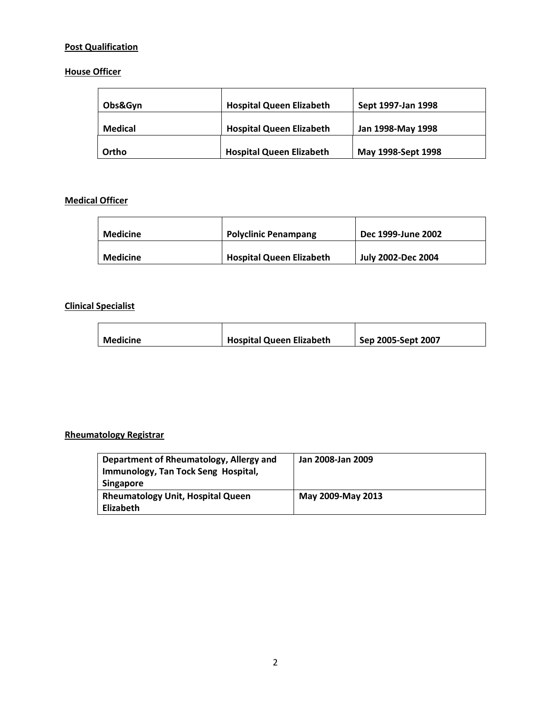# **Post Qualification**

# **House Officer**

| Obs&Gyn | <b>Hospital Queen Elizabeth</b> | Sept 1997-Jan 1998 |
|---------|---------------------------------|--------------------|
| Medical | <b>Hospital Queen Elizabeth</b> | Jan 1998-May 1998  |
| Ortho   | <b>Hospital Queen Elizabeth</b> | May 1998-Sept 1998 |

# **Medical Officer**

| <b>Medicine</b> | <b>Polyclinic Penampang</b>     | Dec 1999-June 2002 |
|-----------------|---------------------------------|--------------------|
| Medicine        | <b>Hospital Queen Elizabeth</b> | July 2002-Dec 2004 |

# **Clinical Specialist**

| <b>Medicine</b> | <b>Hospital Queen Elizabeth</b> | Sep 2005-Sept 2007 |
|-----------------|---------------------------------|--------------------|
|                 |                                 |                    |

## **Rheumatology Registrar**

| Department of Rheumatology, Allergy and<br>Immunology, Tan Tock Seng Hospital,<br><b>Singapore</b> | Jan 2008-Jan 2009 |
|----------------------------------------------------------------------------------------------------|-------------------|
| <b>Rheumatology Unit, Hospital Queen</b><br>Elizabeth                                              | May 2009-May 2013 |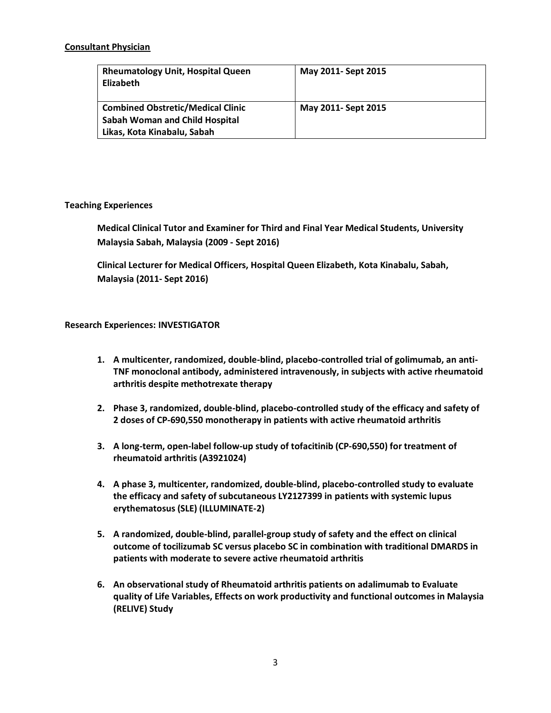### **Consultant Physician**

| <b>Rheumatology Unit, Hospital Queen</b><br><b>Elizabeth</b> | May 2011- Sept 2015 |
|--------------------------------------------------------------|---------------------|
| <b>Combined Obstretic/Medical Clinic</b>                     | May 2011- Sept 2015 |
| <b>Sabah Woman and Child Hospital</b>                        |                     |
| Likas, Kota Kinabalu, Sabah                                  |                     |

## **Teaching Experiences**

**Medical Clinical Tutor and Examiner for Third and Final Year Medical Students, University Malaysia Sabah, Malaysia (2009 - Sept 2016)**

**Clinical Lecturer for Medical Officers, Hospital Queen Elizabeth, Kota Kinabalu, Sabah, Malaysia (2011- Sept 2016)** 

## **Research Experiences: INVESTIGATOR**

- **1. A multicenter, randomized, double-blind, placebo-controlled trial of golimumab, an anti-TNF monoclonal antibody, administered intravenously, in subjects with active rheumatoid arthritis despite methotrexate therapy**
- **2. Phase 3, randomized, double-blind, placebo-controlled study of the efficacy and safety of 2 doses of CP-690,550 monotherapy in patients with active rheumatoid arthritis**
- **3. A long-term, open-label follow-up study of tofacitinib (CP-690,550) for treatment of rheumatoid arthritis (A3921024)**
- **4. A phase 3, multicenter, randomized, double-blind, placebo-controlled study to evaluate the efficacy and safety of subcutaneous LY2127399 in patients with systemic lupus erythematosus (SLE) (ILLUMINATE-2)**
- **5. A randomized, double-blind, parallel-group study of safety and the effect on clinical outcome of tocilizumab SC versus placebo SC in combination with traditional DMARDS in patients with moderate to severe active rheumatoid arthritis**
- **6. An observational study of Rheumatoid arthritis patients on adalimumab to Evaluate quality of Life Variables, Effects on work productivity and functional outcomes in Malaysia (RELIVE) Study**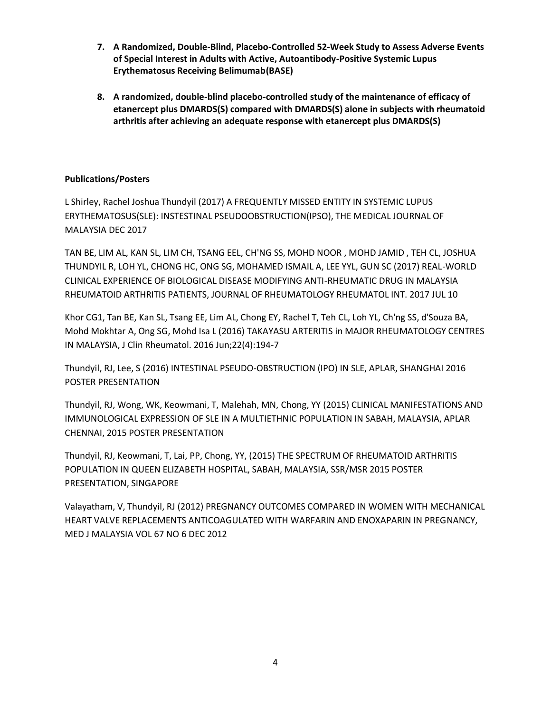- **7. A Randomized, Double-Blind, Placebo-Controlled 52-Week Study to Assess Adverse Events of Special Interest in Adults with Active, Autoantibody-Positive Systemic Lupus Erythematosus Receiving Belimumab(BASE)**
- **8. A randomized, double-blind placebo-controlled study of the maintenance of efficacy of etanercept plus DMARDS(S) compared with DMARDS(S) alone in subjects with rheumatoid arthritis after achieving an adequate response with etanercept plus DMARDS(S)**

## **Publications/Posters**

L Shirley, Rachel Joshua Thundyil (2017) A FREQUENTLY MISSED ENTITY IN SYSTEMIC LUPUS ERYTHEMATOSUS(SLE): INSTESTINAL PSEUDOOBSTRUCTION(IPSO), THE MEDICAL JOURNAL OF MALAYSIA DEC 2017

TAN BE, LIM AL, KAN SL, LIM CH, TSANG EEL, CH'NG SS, MOHD NOOR , MOHD JAMID , TEH CL, JOSHUA THUNDYIL R, LOH YL, CHONG HC, ONG SG, MOHAMED ISMAIL A, LEE YYL, GUN SC (2017) REAL-WORLD CLINICAL EXPERIENCE OF BIOLOGICAL DISEASE MODIFYING ANTI-RHEUMATIC DRUG IN MALAYSIA RHEUMATOID ARTHRITIS PATIENTS, JOURNAL OF RHEUMATOLOGY RHEUMATOL INT. 2017 JUL 10

Khor CG1, Tan BE, Kan SL, Tsang EE, Lim AL, Chong EY, Rachel T, Teh CL, Loh YL, Ch'ng SS, d'Souza BA, Mohd Mokhtar A, Ong SG, Mohd Isa L (2016) TAKAYASU ARTERITIS in MAJOR RHEUMATOLOGY CENTRES IN MALAYSIA, J Clin Rheumatol. 2016 Jun;22(4):194-7

Thundyil, RJ, Lee, S (2016) INTESTINAL PSEUDO-OBSTRUCTION (IPO) IN SLE, APLAR, SHANGHAI 2016 POSTER PRESENTATION

Thundyil, RJ, Wong, WK, Keowmani, T, Malehah, MN, Chong, YY (2015) CLINICAL MANIFESTATIONS AND IMMUNOLOGICAL EXPRESSION OF SLE IN A MULTIETHNIC POPULATION IN SABAH, MALAYSIA, APLAR CHENNAI, 2015 POSTER PRESENTATION

Thundyil, RJ, Keowmani, T, Lai, PP, Chong, YY, (2015) THE SPECTRUM OF RHEUMATOID ARTHRITIS POPULATION IN QUEEN ELIZABETH HOSPITAL, SABAH, MALAYSIA, SSR/MSR 2015 POSTER PRESENTATION, SINGAPORE

Valayatham, V, Thundyil, RJ (2012) PREGNANCY OUTCOMES COMPARED IN WOMEN WITH MECHANICAL HEART VALVE REPLACEMENTS ANTICOAGULATED WITH WARFARIN AND ENOXAPARIN IN PREGNANCY, MED J MALAYSIA VOL 67 NO 6 DEC 2012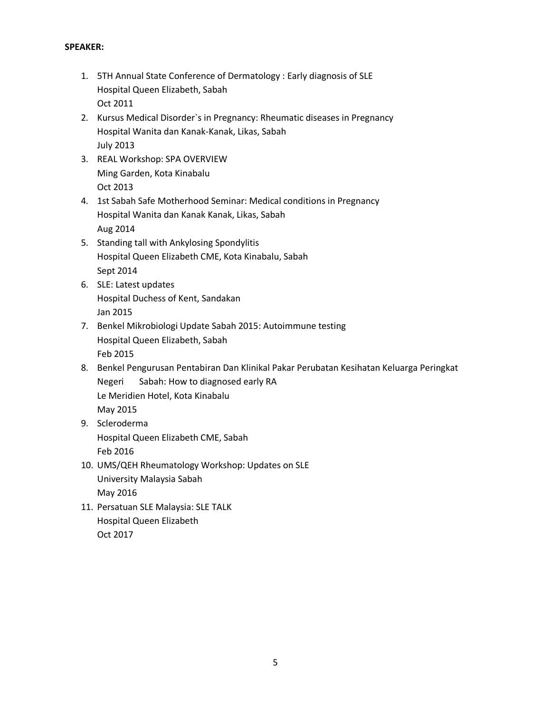### **SPEAKER:**

- 1. 5TH Annual State Conference of Dermatology : Early diagnosis of SLE Hospital Queen Elizabeth, Sabah Oct 2011
- 2. Kursus Medical Disorder`s in Pregnancy: Rheumatic diseases in Pregnancy Hospital Wanita dan Kanak-Kanak, Likas, Sabah July 2013
- 3. REAL Workshop: SPA OVERVIEW Ming Garden, Kota Kinabalu Oct 2013
- 4. 1st Sabah Safe Motherhood Seminar: Medical conditions in Pregnancy Hospital Wanita dan Kanak Kanak, Likas, Sabah Aug 2014
- 5. Standing tall with Ankylosing Spondylitis Hospital Queen Elizabeth CME, Kota Kinabalu, Sabah Sept 2014
- 6. SLE: Latest updates Hospital Duchess of Kent, Sandakan Jan 2015
- 7. Benkel Mikrobiologi Update Sabah 2015: Autoimmune testing Hospital Queen Elizabeth, Sabah Feb 2015
- 8. Benkel Pengurusan Pentabiran Dan Klinikal Pakar Perubatan Kesihatan Keluarga Peringkat Negeri Sabah: How to diagnosed early RA Le Meridien Hotel, Kota Kinabalu May 2015
- 9. Scleroderma Hospital Queen Elizabeth CME, Sabah Feb 2016
- 10. UMS/QEH Rheumatology Workshop: Updates on SLE University Malaysia Sabah May 2016
- 11. Persatuan SLE Malaysia: SLE TALK Hospital Queen Elizabeth Oct 2017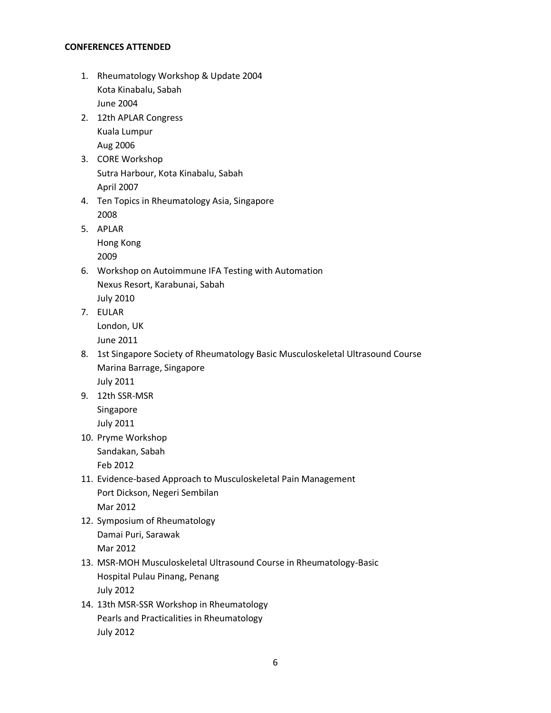#### **CONFERENCES ATTENDED**

- 1. Rheumatology Workshop & Update 2004 Kota Kinabalu, Sabah June 2004
- 2. 12th APLAR Congress Kuala Lumpur Aug 2006
- 3. CORE Workshop Sutra Harbour, Kota Kinabalu, Sabah April 2007
- 4. Ten Topics in Rheumatology Asia, Singapore 2008
- 5. APLAR Hong Kong 2009
- 6. Workshop on Autoimmune IFA Testing with Automation Nexus Resort, Karabunai, Sabah July 2010
- 7. EULAR London, UK June 2011
- 8. 1st Singapore Society of Rheumatology Basic Musculoskeletal Ultrasound Course Marina Barrage, Singapore July 2011
- 9. 12th SSR-MSR Singapore July 2011
- 10. Pryme Workshop Sandakan, Sabah

Feb 2012

- 11. Evidence-based Approach to Musculoskeletal Pain Management Port Dickson, Negeri Sembilan Mar 2012
- 12. Symposium of Rheumatology Damai Puri, Sarawak Mar 2012
- 13. MSR-MOH Musculoskeletal Ultrasound Course in Rheumatology-Basic Hospital Pulau Pinang, Penang July 2012
- 14. 13th MSR-SSR Workshop in Rheumatology Pearls and Practicalities in Rheumatology July 2012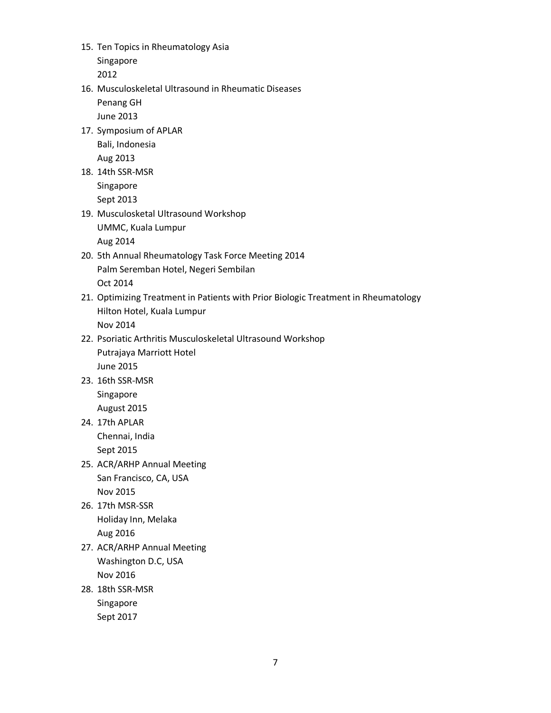15. Ten Topics in Rheumatology Asia Singapore

2012

- 16. Musculoskeletal Ultrasound in Rheumatic Diseases
	- Penang GH June 2013
- 17. Symposium of APLAR Bali, Indonesia Aug 2013
- 18. 14th SSR-MSR Singapore Sept 2013
- 19. Musculosketal Ultrasound Workshop UMMC, Kuala Lumpur Aug 2014
- 20. 5th Annual Rheumatology Task Force Meeting 2014 Palm Seremban Hotel, Negeri Sembilan Oct 2014
- 21. Optimizing Treatment in Patients with Prior Biologic Treatment in Rheumatology Hilton Hotel, Kuala Lumpur Nov 2014
- 22. Psoriatic Arthritis Musculoskeletal Ultrasound Workshop Putrajaya Marriott Hotel June 2015
- 23. 16th SSR-MSR Singapore August 2015
- 24. 17th APLAR Chennai, India Sept 2015
- 25. ACR/ARHP Annual Meeting San Francisco, CA, USA Nov 2015
- 26. 17th MSR-SSR Holiday Inn, Melaka Aug 2016
- 27. ACR/ARHP Annual Meeting Washington D.C, USA Nov 2016
- 28. 18th SSR-MSR Singapore Sept 2017